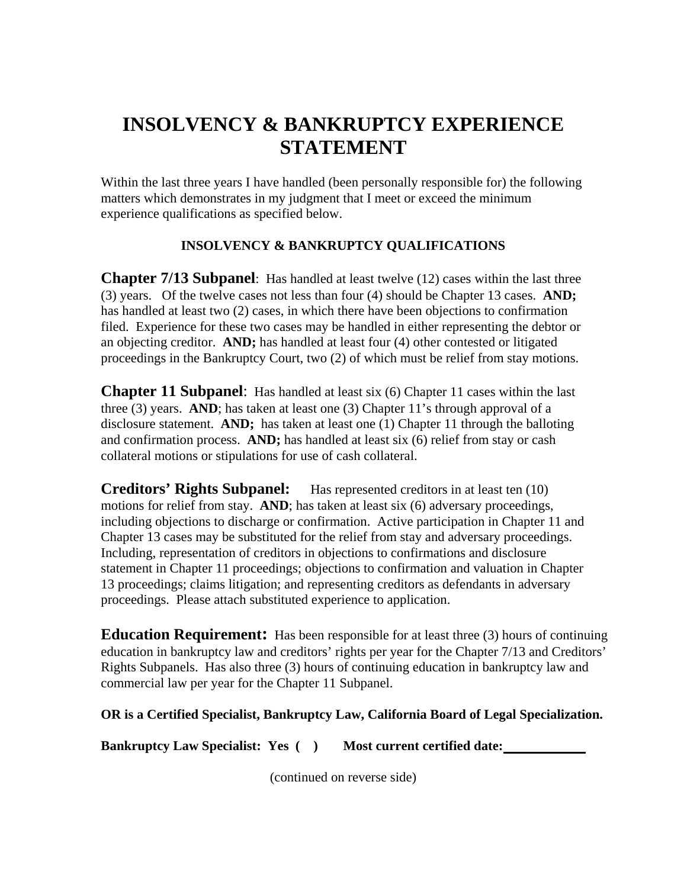## **INSOLVENCY & BANKRUPTCY EXPERIENCE STATEMENT**

Within the last three years I have handled (been personally responsible for) the following matters which demonstrates in my judgment that I meet or exceed the minimum experience qualifications as specified below.

## **INSOLVENCY & BANKRUPTCY QUALIFICATIONS**

**Chapter 7/13 Subpanel**: Has handled at least twelve (12) cases within the last three (3) years. Of the twelve cases not less than four (4) should be Chapter 13 cases. **AND;** has handled at least two (2) cases, in which there have been objections to confirmation filed. Experience for these two cases may be handled in either representing the debtor or an objecting creditor. **AND;** has handled at least four (4) other contested or litigated proceedings in the Bankruptcy Court, two (2) of which must be relief from stay motions.

**Chapter 11 Subpanel:** Has handled at least six (6) Chapter 11 cases within the last three (3) years. **AND**; has taken at least one (3) Chapter 11's through approval of a disclosure statement. **AND;** has taken at least one (1) Chapter 11 through the balloting and confirmation process. **AND;** has handled at least six (6) relief from stay or cash collateral motions or stipulations for use of cash collateral.

**Creditors' Rights Subpanel:** Has represented creditors in at least ten (10) motions for relief from stay. **AND**; has taken at least six (6) adversary proceedings, including objections to discharge or confirmation. Active participation in Chapter 11 and Chapter 13 cases may be substituted for the relief from stay and adversary proceedings. Including, representation of creditors in objections to confirmations and disclosure statement in Chapter 11 proceedings; objections to confirmation and valuation in Chapter 13 proceedings; claims litigation; and representing creditors as defendants in adversary proceedings. Please attach substituted experience to application.

**Education Requirement:** Has been responsible for at least three (3) hours of continuing education in bankruptcy law and creditors' rights per year for the Chapter 7/13 and Creditors' Rights Subpanels. Has also three (3) hours of continuing education in bankruptcy law and commercial law per year for the Chapter 11 Subpanel.

## **OR is a Certified Specialist, Bankruptcy Law, California Board of Legal Specialization.**

**Bankruptcy Law Specialist: Yes ( ) Most current certified date:** 

(continued on reverse side)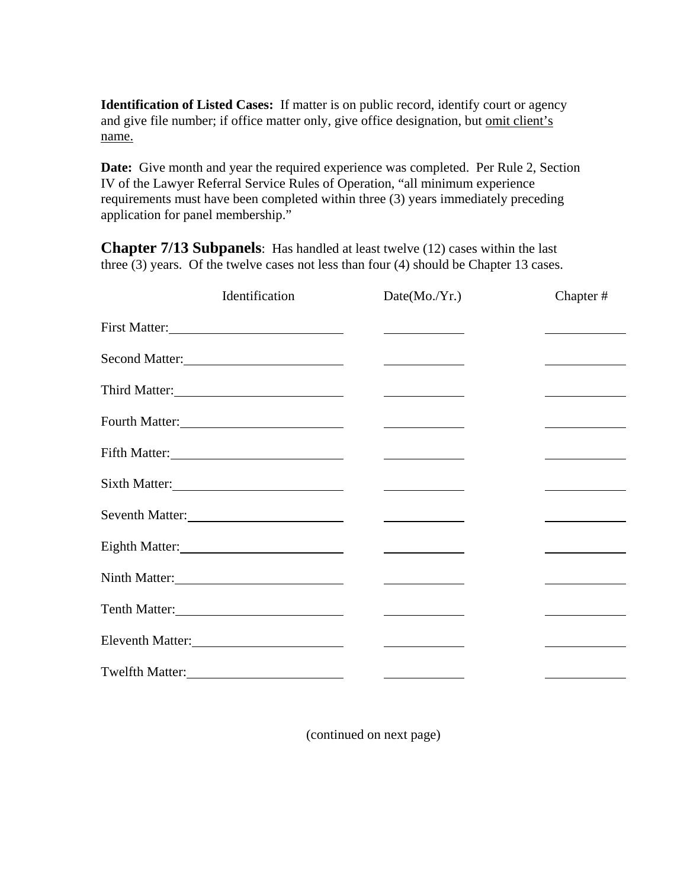**Identification of Listed Cases:** If matter is on public record, identify court or agency and give file number; if office matter only, give office designation, but omit client's name.

**Date:** Give month and year the required experience was completed. Per Rule 2, Section IV of the Lawyer Referral Service Rules of Operation, "all minimum experience requirements must have been completed within three (3) years immediately preceding application for panel membership."

**Chapter 7/13 Subpanels**: Has handled at least twelve (12) cases within the last three (3) years. Of the twelve cases not less than four (4) should be Chapter 13 cases.

|                                                                                                                | Identification | Date(Mo./Yr.)                      | Chapter#                                                                                                              |
|----------------------------------------------------------------------------------------------------------------|----------------|------------------------------------|-----------------------------------------------------------------------------------------------------------------------|
|                                                                                                                |                |                                    |                                                                                                                       |
| Second Matter:                                                                                                 |                |                                    | <u> Louis Communication de la proprie</u>                                                                             |
| Third Matter:                                                                                                  |                |                                    |                                                                                                                       |
|                                                                                                                |                |                                    |                                                                                                                       |
|                                                                                                                |                |                                    |                                                                                                                       |
| Sixth Matter:                                                                                                  |                |                                    |                                                                                                                       |
| Seventh Matter: 2008 and 2008 and 2008 and 2008 and 2008 and 2008 and 2008 and 2008 and 2008 and 2008 and 2008 |                |                                    | <u> Albanya (Albanya) a shekara tsa a shekara tsa a shekara tsa a shekara tsa a shekara tsa a shekara tsa a sheka</u> |
| Eighth Matter:<br><u>Eighth Matter:</u>                                                                        |                | <u> Andrew Marian (1989)</u>       | <u> 1989 - Johann Barn, brittisk politik (d. 1989)</u>                                                                |
| Ninth Matter:                                                                                                  |                | <u> Albanya (Albanya)</u>          | <u> 1989 - Johann Barnett, fransk politik (</u>                                                                       |
|                                                                                                                |                |                                    |                                                                                                                       |
|                                                                                                                |                |                                    |                                                                                                                       |
|                                                                                                                |                | Twelfth Matter:<br>Twelfth Matter: |                                                                                                                       |

(continued on next page)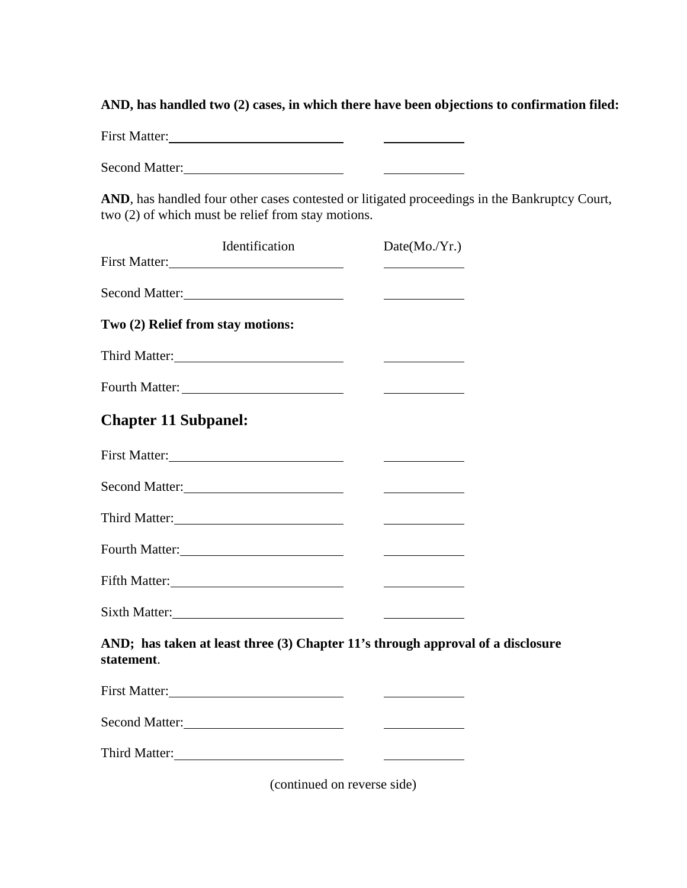**AND, has handled two (2) cases, in which there have been objections to confirmation filed:**

First Matter: *Matter Matter Matter Matter Matter Matter Matter Matter Matter Matter Matter Matter Matter Matter Matter Matter Matter Matter Matter*  $\begin{array}{c} \begin{array}{c} \begin{array}{c} \begin{array}{c} \end{array} \\ \end{array} \end{array} \end{array} \end{array}$ 

Second Matter:

AND, has handled four other cases contested or litigated proceedings in the Bankruptcy Court, two (2) of which must be relief from stay motions.

| Identification<br>First Matter:                                                               | Date(Mo./Yr.)                                                                                                        |  |
|-----------------------------------------------------------------------------------------------|----------------------------------------------------------------------------------------------------------------------|--|
| Second Matter:                                                                                | <u> 1989 - Johann Stein, mars an t-</u>                                                                              |  |
| Two (2) Relief from stay motions:                                                             |                                                                                                                      |  |
|                                                                                               |                                                                                                                      |  |
|                                                                                               |                                                                                                                      |  |
| <b>Chapter 11 Subpanel:</b>                                                                   |                                                                                                                      |  |
| First Matter:                                                                                 | <u> 1980 - Andrea Station Barbara, amerikan per</u>                                                                  |  |
| Second Matter:                                                                                | <u> 1980 - Jan Barbara Barat, prima a popular popular popular popular popular popular popular popular popular po</u> |  |
|                                                                                               |                                                                                                                      |  |
| Fourth Matter:                                                                                |                                                                                                                      |  |
| Fifth Matter:                                                                                 |                                                                                                                      |  |
|                                                                                               |                                                                                                                      |  |
| AND; has taken at least three (3) Chapter 11's through approval of a disclosure<br>statement. |                                                                                                                      |  |
|                                                                                               |                                                                                                                      |  |
| Second Matter:                                                                                |                                                                                                                      |  |

(continued on reverse side)

Third Matter: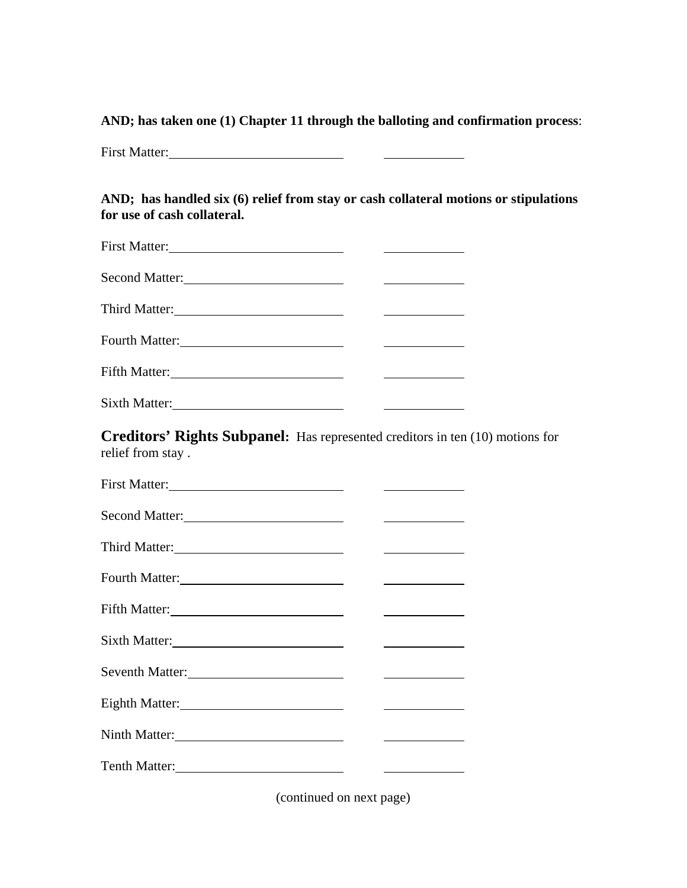**AND; has taken one (1) Chapter 11 through the balloting and confirmation process**:

First Matter:

**AND; has handled six (6) relief from stay or cash collateral motions or stipulations for use of cash collateral.** 

| Fifth Matter: |  |
|---------------|--|
|               |  |

**Creditors' Rights Subpanel:** Has represented creditors in ten (10) motions for relief from stay .

| Second Matter:  |  |
|-----------------|--|
|                 |  |
|                 |  |
|                 |  |
| Sixth Matter:   |  |
| Seventh Matter: |  |
|                 |  |
|                 |  |
|                 |  |

(continued on next page)